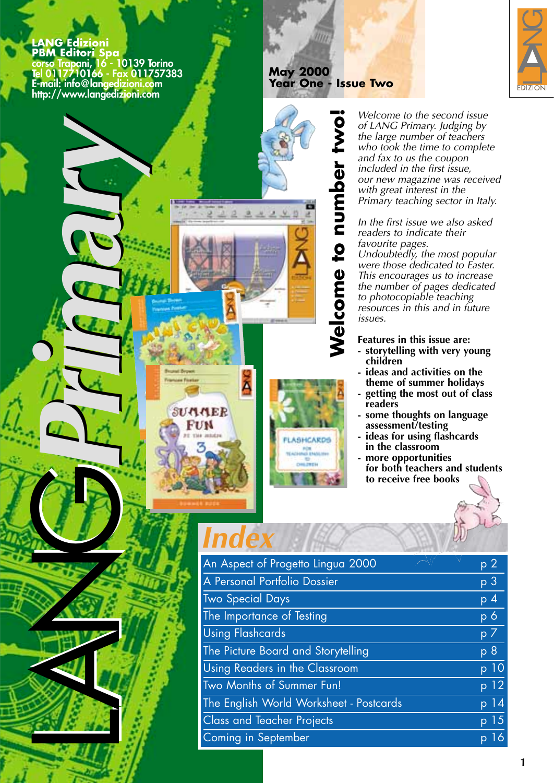#### **LANG Edizioni PBM Editori Spa corso Trapani, 16 - 10139 Torino Tel 0117710166 - Fax 011757383 E-mail: info@langedizioni.com http://www.langedizioni.com**

LANG*Primary* LANG*Primary*

#### **May 2000 Year One - Issue Two**

**Welcome to number two!**

Welcome to number

ASHCARDS



*Welcome to the second issue of LANG Primary. Judging by the large number of teachers who took the time to complete and fax to us the coupon included in the first issue, our new magazine was received with great interest in the Primary teaching sector in Italy.*

*In the first issue we also asked readers to indicate their favourite pages. Undoubtedly, the most popular were those dedicated to Easter. This encourages us to increase the number of pages dedicated to photocopiable teaching resources in this and in future issues.*

**Features in this issue are:**

- **storytelling with very young children**
- **ideas and activities on the theme of summer holidays**
- **getting the most out of class readers**
- **some thoughts on language assessment/testing**
- **ideas for using flashcards in the classroom**
- **more opportunities for both teachers and students to receive free books**

# *Index*

SUMMER FUN

브  $\mathcal{M}$ 

| $\overline{p}$ 2   |
|--------------------|
| $p \, 3$           |
| $p \, 4$           |
| $p\,6$             |
| $p \, 7$           |
| p 8                |
| $p$ 10             |
| p 12               |
| p 14               |
| p <sub>15</sub>    |
| 16<br>$\mathsf{D}$ |
|                    |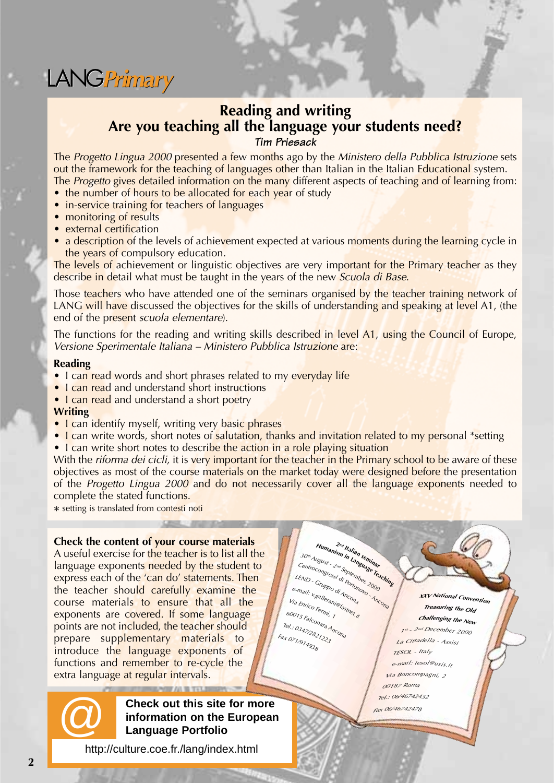## <span id="page-1-0"></span>LANG*Primary Primary*

#### **Reading and writing Are you teaching all the language your students need?** *Tim Priesack*

The *Progetto Lingua 2000* presented a few months ago by the *Ministero della Pubblica Istruzione* sets out the framework for the teaching of languages other than Italian in the Italian Educational system. The *Progetto* gives detailed information on the many different aspects of teaching and of learning from:

- the number of hours to be allocated for each year of study
- in-service training for teachers of languages
- monitoring of results
- external certification
- a description of the levels of achievement expected at various moments during the learning cycle in the years of compulsory education.

The levels of achievement or linguistic objectives are very important for the Primary teacher as they describe in detail what must be taught in the years of the new *Scuola di Base*.

Those teachers who have attended one of the seminars organised by the teacher training network of LANG will have discussed the objectives for the skills of understanding and speaking at level A1, (the end of the present *scuola elementare*).

The functions for the reading and writing skills described in level A1, using the Council of Europe, *Versione Sperimentale Italiana – Ministero Pubblica Istruzione are:* 

#### **Reading**

- I can read words and short phrases related to my everyday life
- I can read and understand short instructions
- I can read and understand a short poetry

#### **Writing**

- I can identify myself, writing very basic phrases
- I can write words, short notes of salutation, thanks and invitation related to my personal \*setting
- I can write short notes to describe the action in a role playing situation

With the *riforma dei cicli,* it is very important for the teacher in the Primary school to be aware of these objectives as most of the course materials on the market today were designed before the presentation of the *Progetto Lingua 2000* and do not necessarily cover all the language exponents needed to complete the stated functions.

Humanism in Lanseminar<br><sup>Ugust - 2nd sn Language<br><sup>Ono 2nd</sup> Sept<sup>1</sup></sup>

Centrocongressi 2<sup>nd</sup> September<br>END - Gruppo di Portonovo<br>mail: <sub>Kore</sub>u, di Antonovo

LEND - Gruppo di Ancona<br>Smail: v.galleranie<br><sup>2</sup> E- . <sup>e</sup>-mail: <sup>v</sup>.galle<sup>r</sup>ani@fa<sup>s</sup>tnet.it

<sup>30th</sup> August -

<sup>V</sup>ia <sup>E</sup>nrico <sup>F</sup>ermi, <sup>1</sup> <sup>6</sup>001<sup>5</sup> <sup>F</sup>alconar<sup>a</sup> <sup>A</sup><sup>n</sup>cona Tel.: 0347/2821223

Fax 071/914938

*Para September, 2000***<br>Pasi di Portonoler, 2000<br>Po di Portonole 2000** 

Ancona

\* setting is translated from contesti noti

#### **Check the content of your course materials**

A useful exercise for the teacher is to list all the language exponents needed by the student to express each of the 'can do' statements. Then the teacher should carefully examine the course materials to ensure that all the exponents are covered. If some language points are not included, the teacher should prepare supplementary materials to introduce the language exponents of functions and remember to re-cycle the extra language at regular intervals.

@

#### **Check out this site for more information on the European Language Portfolio**

[http://culture.coe.fr./lang/index.html](http://www.coe.int/T/E/Cultural_Co-operation/education/Languages/)

**<sup>X</sup>X<sup>V</sup> <sup>N</sup>ational Conventio<sup>n</sup> Treasuring th<sup>e</sup> Old <sup>C</sup>hall<sup>e</sup><sup>n</sup>ging th<sup>e</sup> Ne<sup>w</sup>** 1st - 2nd December 2000 La Cittadella - Assisi TESO<sup>L</sup> - <sup>I</sup>tal<sup>y</sup> e-m<sup>a</sup>il: <sup>t</sup>esol@usis.it Vi<sup>a</sup> <sup>B</sup>onco<sup>m</sup>pagni, <sup>2</sup> 0018<sup>7</sup> <sup>R</sup>om<sup>a</sup> Tel.: 06/46742432 Fa<sup>x</sup> 06/46742478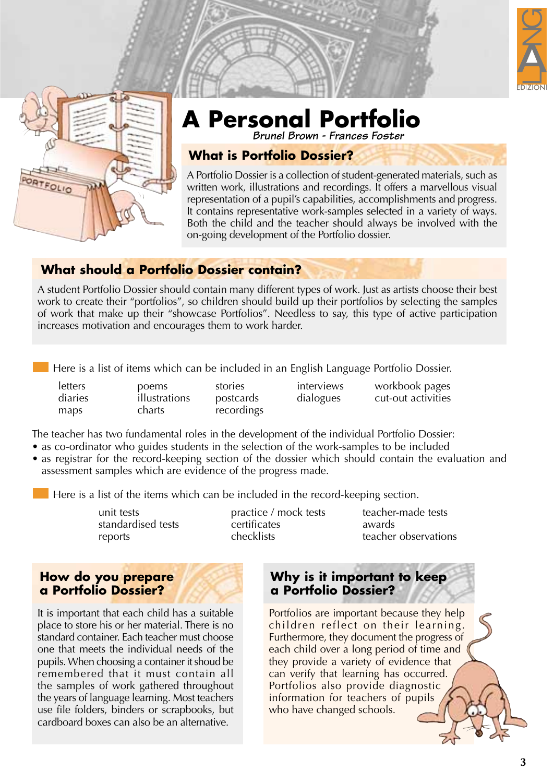

<span id="page-2-0"></span>

## **A Personal Portfolio**

*Brunel Brown - Frances Foster*

#### **What is Portfolio Dossier?**

A Portfolio Dossier is a collection of student-generated materials, such as written work, illustrations and recordings. It offers a marvellous visual representation of a pupil's capabilities, accomplishments and progress. It contains representative work-samples selected in a variety of ways. Both the child and the teacher should always be involved with the on-going development of the Portfolio dossier.

#### **What should a Portfolio Dossier contain?**

A student Portfolio Dossier should contain many different types of work. Just as artists choose their best work to create their "portfolios", so children should build up their portfolios by selecting the samples of work that make up their "showcase Portfolios". Needless to say, this type of active participation increases motivation and encourages them to work harder.

Here is a list of items which can be included in an English Language Portfolio Dossier.

maps charts recordings

letters poems stories interviews workbook pages diaries illustrations postcards dialogues cut-out activities

The teacher has two fundamental roles in the development of the individual Portfolio Dossier:

- as co-ordinator who guides students in the selection of the work-samples to be included
- as registrar for the record-keeping section of the dossier which should contain the evaluation and assessment samples which are evidence of the progress made.

Here is a list of the items which can be included in the record-keeping section.

unit tests **practice** / mock tests teacher-made tests

standardised tests certificates awards

reports checklists teacher observations

#### **How do you prepare a Portfolio Dossier?**

It is important that each child has a suitable place to store his or her material. There is no standard container. Each teacher must choose one that meets the individual needs of the pupils. When choosing a container it shoud be remembered that it must contain all the samples of work gathered throughout the years of language learning. Most teachers use file folders, binders or scrapbooks, but cardboard boxes can also be an alternative.

#### **Why is it important to keep a Portfolio Dossier?**

Portfolios are important because they help children reflect on their learning. Furthermore, they document the progress of each child over a long period of time and they provide a variety of evidence that can verify that learning has occurred. Portfolios also provide diagnostic information for teachers of pupils who have changed schools.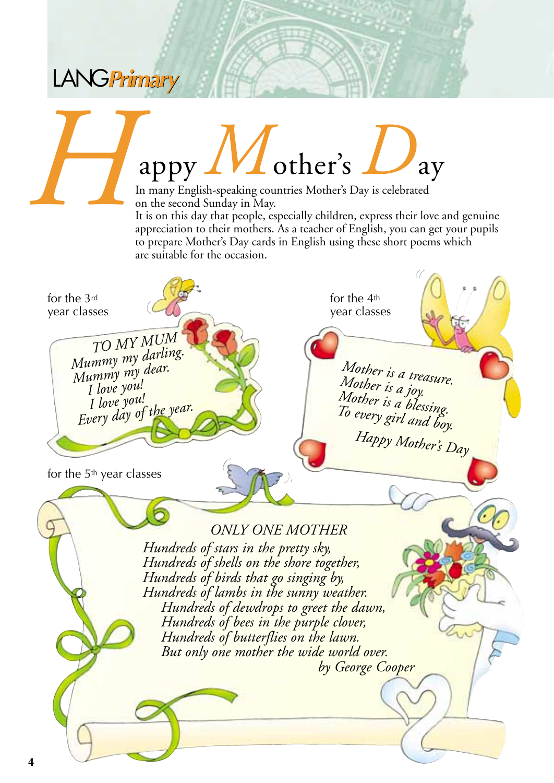<span id="page-3-0"></span>**LANGPrimary** 



*H*appy *M*other's *D*ay

In many English-speaking countries Mother's Day is celebrated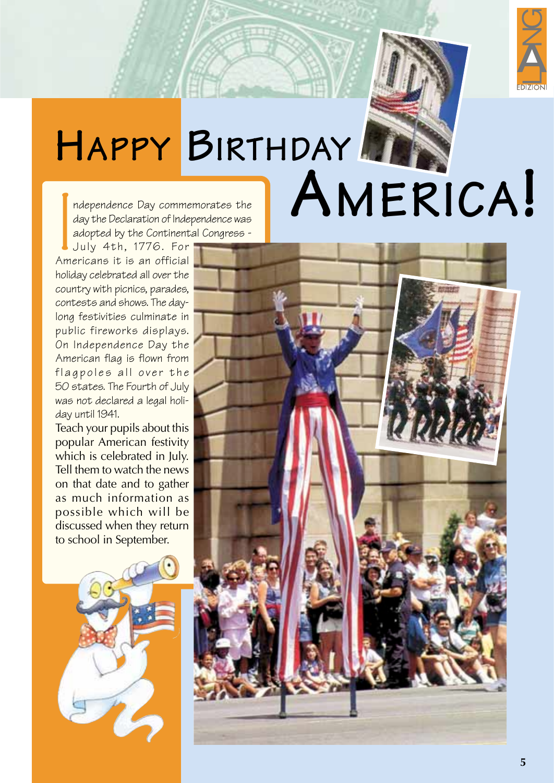

## **HAPPY BIRTHDAY AMERICA!** ndependence Day commemorates the

day the Declaration of Independence was adopted by the Continental Congress -

July 4th, 1776. For Americans it is an official holiday celebrated all over the country with picnics, parades, contests and shows. The daylong festivities culminate in public fireworks displays. On Independence Day the American flag is flown from flagpoles all over the 50 states. The Fourth of July was not declared a legal holiday until 1941.

Teach your pupils about this popular American festivity which is celebrated in July. Tell them to watch the news on that date and to gather as much information as possible which will be discussed when they return to school in September.





**5**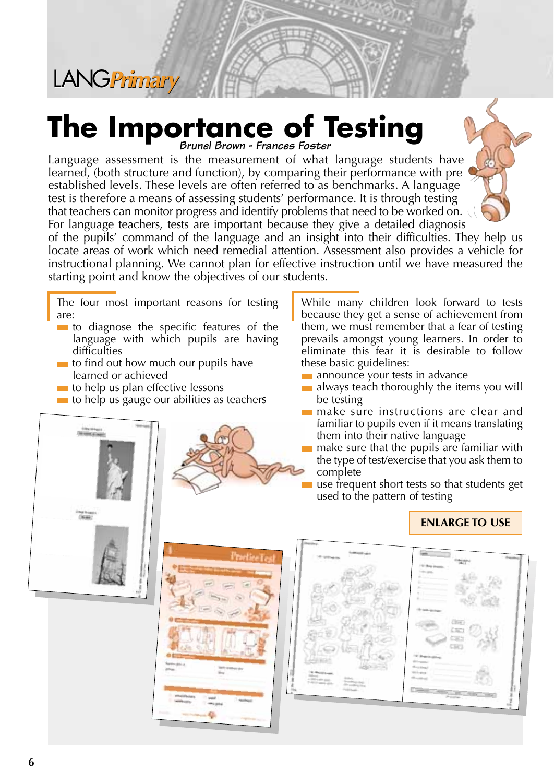<span id="page-5-0"></span>

# **The Importance of Testing** *Brunel Brown - Frances Foster*

Language assessment is the measurement of what language students have learned, (both structure and function), by comparing their performance with pre established levels. These levels are often referred to as benchmarks. A language test is therefore a means of assessing students' performance. It is through testing that teachers can monitor progress and identify problems that need to be worked on. For language teachers, tests are important because they give a detailed diagnosis

of the pupils' command of the language and an insight into their difficulties. They help us locate areas of work which need remedial attention. Assessment also provides a vehicle for instructional planning. We cannot plan for effective instruction until we have measured the starting point and know the objectives of our students.

- The four most important reasons for testing are:
- **to** diagnose the specific features of the language with which pupils are having difficulties
- $\blacksquare$  to find out how much our pupils have learned or achieved
- $\blacksquare$  to help us plan effective lessons
- $\blacksquare$  to help us gauge our abilities as teachers

While many children look forward to tests because they get a sense of achievement from them, we must remember that a fear of testing prevails amongst young learners. In order to eliminate this fear it is desirable to follow these basic guidelines:

- **announce your tests in advance**
- $\blacksquare$  always teach thoroughly the items you will be testing
- **make sure instructions are clear and** familiar to pupils even if it means translating them into their native language
- $\blacksquare$  make sure that the pupils are familiar with the type of test/exercise that you ask them to complete
- use frequent short tests so that students get used to the pattern of testing

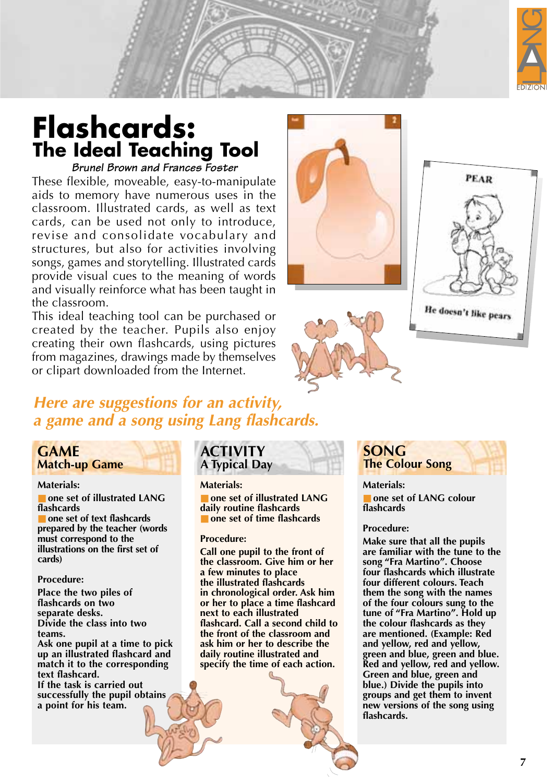

## <span id="page-6-0"></span>**Flashcards: The Ideal Teaching Tool**

*Brunel Brown and Frances Foster*

These flexible, moveable, easy-to-manipulate aids to memory have numerous uses in the classroom. Illustrated cards, as well as text cards, can be used not only to introduce, revise and consolidate vocabulary and structures, but also for activities involving songs, games and storytelling. Illustrated cards provide visual cues to the meaning of words and visually reinforce what has been taught in the classroom.

This ideal teaching tool can be purchased or created by the teacher. Pupils also enjoy creating their own flashcards, using pictures from magazines, drawings made by themselves or clipart downloaded from the Internet.





#### *Here are suggestions for an activity, a game and a song using Lang flashcards.*

#### **GAME Match-up Game**

#### **Materials:**

■ **one set of illustrated LANG flashcards** ■ **one set of text flashcards prepared by the teacher (words must correspond to the illustrations on the first set of cards)**

#### **Procedure:**

**Place the two piles of flashcards on two separate desks. Divide the class into two teams. Ask one pupil at a time to pick up an illustrated flashcard and match it to the corresponding text flashcard. If the task is carried out successfully the pupil obtains a point for his team.**

#### **ACTIVITY A Typical Day**

#### **Materials:**

■ **one set of illustrated LANG daily routine flashcards** ■ one set of time flashcards

#### **Procedure:**

**Call one pupil to the front of the classroom. Give him or her a few minutes to place the illustrated flashcards in chronological order. Ask him or her to place a time flashcard next to each illustrated flashcard. Call a second child to the front of the classroom and ask him or her to describe the daily routine illustrated and specify the time of each action.**

#### **SONG The Colour Song**

**Materials:**

■ **one set of LANG colour flashcards**

#### **Procedure:**

**Make sure that all the pupils are familiar with the tune to the song "Fra Martino". Choose four flashcards which illustrate four different colours. Teach them the song with the names of the four colours sung to the tune of "Fra Martino". Hold up the colour flashcards as they are mentioned. (Example: Red and yellow, red and yellow, green and blue, green and blue. Red and yellow, red and yellow. Green and blue, green and blue.) Divide the pupils into groups and get them to invent new versions of the song using flashcards.**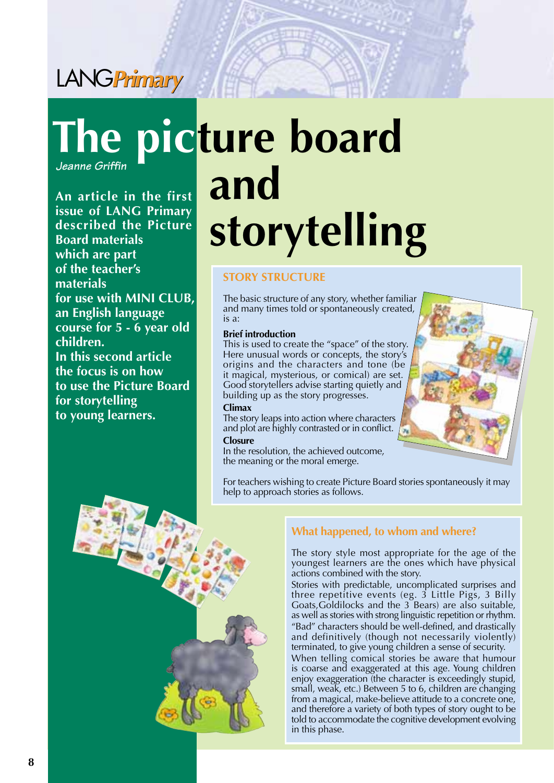## <span id="page-7-0"></span>**LANGPrimary**

## **An article in the first The picture board and** *Jeanne Griffin*

**issue of LANG Primary described the Picture Board materials which are part of the teacher's materials for use with MINI CLUB, an English language course for 5 - 6 year old children. In this second article the focus is on how to use the Picture Board for storytelling to young learners.**

# **storytelling**

#### **STORY STRUCTURE**

The basic structure of any story, whether familiar and many times told or spontaneously created, is a:

#### **Brief introduction**

This is used to create the "space" of the story. Here unusual words or concepts, the story's origins and the characters and tone (be it magical, mysterious, or comical) are set. Good storytellers advise starting quietly and building up as the story progresses.

#### **Climax**

The story leaps into action where characters and plot are highly contrasted or in conflict.

#### **Closure**

In the resolution, the achieved outcome, the meaning or the moral emerge.

For teachers wishing to create Picture Board stories spontaneously it may help to approach stories as follows.



The story style most appropriate for the age of the youngest learners are the ones which have physical actions combined with the story.

Stories with predictable, uncomplicated surprises and three repetitive events (eg. 3 Little Pigs, 3 Billy Goats,Goldilocks and the 3 Bears) are also suitable, as well as stories with strong linguistic repetition or rhythm. "Bad" characters should be well-defined, and drastically and definitively (though not necessarily violently) terminated, to give young children a sense of security.

When telling comical stories be aware that humour is coarse and exaggerated at this age. Young children enjoy exaggeration (the character is exceedingly stupid, small, weak, etc.) Between 5 to 6, children are changing from a magical, make-believe attitude to a concrete one, and therefore a variety of both types of story ought to be told to accommodate the cognitive development evolving in this phase.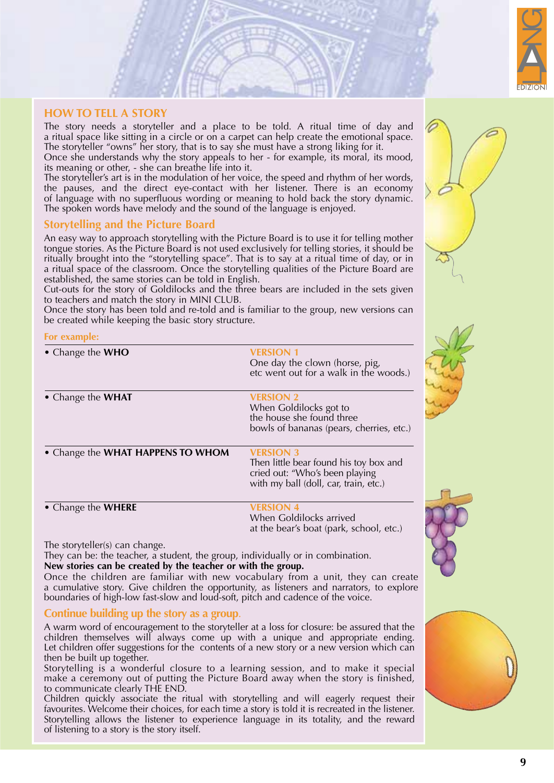

#### **HOW TO TELL A STORY**

The story needs a storyteller and a place to be told. A ritual time of day and a ritual space like sitting in a circle or on a carpet can help create the emotional space. The storyteller "owns" her story, that is to say she must have a strong liking for it.

Once she understands why the story appeals to her - for example, its moral, its mood, its meaning or other,  $-$  she can breathe life into it.

The storyteller's art is in the modulation of her voice, the speed and rhythm of her words, the pauses, and the direct eye-contact with her listener. There is an economy of language with no superfluous wording or meaning to hold back the story dynamic. The spoken words have melody and the sound of the language is enjoyed.

#### **Storytelling and the Picture Board**

An easy way to approach storytelling with the Picture Board is to use it for telling mother tongue stories. As the Picture Board is not used exclusively for telling stories, it should be ritually brought into the "storytelling space". That is to say at a ritual time of day, or in a ritual space of the classroom. Once the storytelling qualities of the Picture Board are established, the same stories can be told in English.

Cut-outs for the story of Goldilocks and the three bears are included in the sets given to teachers and match the story in MINI CLUB.

Once the story has been told and re-told and is familiar to the group, new versions can be created while keeping the basic story structure.

#### **For example:**

| • Change the WHO                  | <b>VERSION 1</b><br>One day the clown (horse, pig,<br>etc went out for a walk in the woods.)                                          |
|-----------------------------------|---------------------------------------------------------------------------------------------------------------------------------------|
| • Change the <b>WHAT</b>          | <b>VERSION 2</b><br>When Goldilocks got to<br>the house she found three<br>bowls of bananas (pears, cherries, etc.)                   |
| • Change the WHAT HAPPENS TO WHOM | <b>VERSION 3</b><br>Then little bear found his toy box and<br>cried out: "Who's been playing<br>with my ball (doll, car, train, etc.) |
| • Change the <b>WHERE</b>         | <b>VERSION 4</b><br>When Goldilocks arrived<br>at the bear's boat (park, school, etc.)                                                |

The storyteller(s) can change.

They can be: the teacher, a student, the group, individually or in combination.

#### **New stories can be created by the teacher or with the group.**

Once the children are familiar with new vocabulary from a unit, they can create a cumulative story. Give children the opportunity, as listeners and narrators, to explore boundaries of high-low fast-slow and loud-soft, pitch and cadence of the voice.

#### **Continue building up the story as a group** .

A warm word of encouragement to the storyteller at a loss for closure: be assured that the children themselves will always come up with a unique and appropriate ending. Let children offer suggestions for the contents of a new story or a new version which can then be built up together.

Storytelling is a wonderful closure to a learning session, and to make it special make a ceremony out of putting the Picture Board away when the story is finished, to communicate clearly THE END.

Children quickly associate the ritual with storytelling and will eagerly request their favourites. Welcome their choices, for each time a story is told it is recreated in the listener. Storytelling allows the listener to experience language in its totality, and the reward of listening to a story is the story itself.

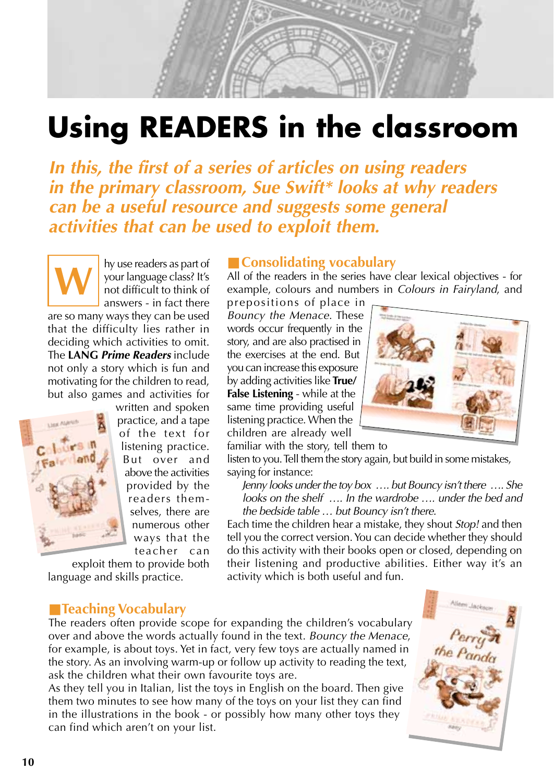# <span id="page-9-0"></span>**Using READERS in the classroom**

*In this, the first of a series of articles on using readers in the primary classroom, Sue Swift\* looks at why readers can be a useful resource and suggests some general activities that can be used to exploit them.* 

hy use readers as part of your language class? It's not difficult to think of answers - in fact there are so many ways they can be used that the difficulty lies rather in deciding which activities to omit. The **LANG** *Prime Readers* include not only a story which is fun and motivating for the children to read, but also games and activities for **W**



written and spoken practice, and a tape of the text for listening practice. But over and above the activities provided by the readers themselves, there are numerous other ways that the teacher can

exploit them to provide both language and skills practice.

#### ■ **Consolidating vocabulary**

All of the readers in the series have clear lexical objectives - for example, colours and numbers in *Colours in Fairyland*, and

prepositions of place in *Bouncy the Menace*. These words occur frequently in the story, and are also practised in the exercises at the end. But you can increase this exposure by adding activities like **True/ False Listening** - while at the same time providing useful listening practice. When the children are already well



familiar with the story, tell them to

listen to you. Tell them the story again, but build in some mistakes, saying for instance:

*Jenny looks under the toy box …. but Bouncy isn't there …. She looks on the shelf …. In the wardrobe …. under the bed and the bedside table … but Bouncy isn't there.*

Each time the children hear a mistake, they shout *Stop!* and then tell you the correct version. You can decide whether they should do this activity with their books open or closed, depending on their listening and productive abilities. Either way it's an activity which is both useful and fun.

#### ■ **Teaching Vocabulary**

The readers often provide scope for expanding the children's vocabulary over and above the words actually found in the text. *Bouncy the Menace*, for example, is about toys. Yet in fact, very few toys are actually named in the story. As an involving warm-up or follow up activity to reading the text, ask the children what their own favourite toys are.

As they tell you in Italian, list the toys in English on the board. Then give them two minutes to see how many of the toys on your list they can find in the illustrations in the book - or possibly how many other toys they can find which aren't on your list.

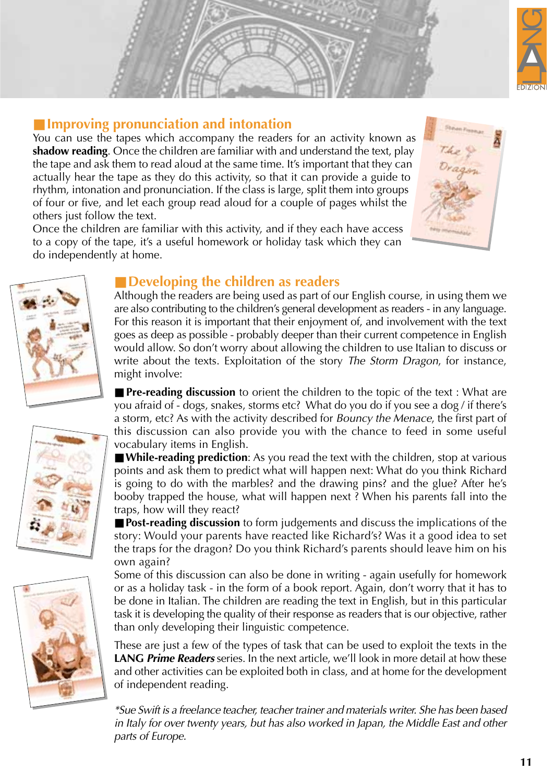

#### ■ **Improving pronunciation and intonation**

You can use the tapes which accompany the readers for an activity known as **shadow reading**. Once the children are familiar with and understand the text, play the tape and ask them to read aloud at the same time. It's important that they can actually hear the tape as they do this activity, so that it can provide a guide to rhythm, intonation and pronunciation. If the class is large, split them into groups of four or five, and let each group read aloud for a couple of pages whilst the others just follow the text.

Once the children are familiar with this activity, and if they each have access to a copy of the tape, it's a useful homework or holiday task which they can do independently at home.





#### ■ Developing the children as readers

Although the readers are being used as part of our English course, in using them we are also contributing to the children's general development as readers - in any language. For this reason it is important that their enjoyment of, and involvement with the text goes as deep as possible - probably deeper than their current competence in English would allow. So don't worry about allowing the children to use Italian to discuss or write about the texts. Exploitation of the story *The Storm Dragon*, for instance, might involve:

■ **Pre-reading discussion** to orient the children to the topic of the text : What are you afraid of - dogs, snakes, storms etc? What do you do if you see a dog / if there's a storm, etc? As with the activity described for *Bouncy the Menace*, the first part of this discussion can also provide you with the chance to feed in some useful vocabulary items in English.

■ **While-reading prediction**: As you read the text with the children, stop at various points and ask them to predict what will happen next: What do you think Richard is going to do with the marbles? and the drawing pins? and the glue? After he's booby trapped the house, what will happen next ? When his parents fall into the traps, how will they react?

■ **Post-reading discussion** to form judgements and discuss the implications of the story: Would your parents have reacted like Richard's? Was it a good idea to set the traps for the dragon? Do you think Richard's parents should leave him on his own again?

Some of this discussion can also be done in writing - again usefully for homework or as a holiday task - in the form of a book report. Again, don't worry that it has to be done in Italian. The children are reading the text in English, but in this particular task it is developing the quality of their response as readers that is our objective, rather than only developing their linguistic competence.

These are just a few of the types of task that can be used to exploit the texts in the **LANG** *Prime Readers* series. In the next article, we'll look in more detail at how these and other activities can be exploited both in class, and at home for the development of independent reading.

*\*Sue Swift is a freelance teacher, teacher trainer and materials writer. She has been based in Italy for over twenty years, but has also worked in Japan, the Middle East and other parts of Europe.*



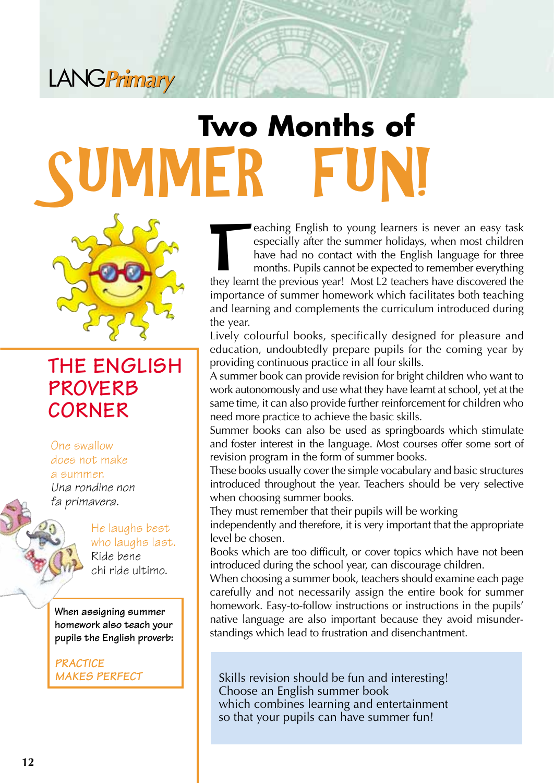## <span id="page-11-0"></span>LANG*Primary Primary*

# **Two Months of VIFR**



### **THE ENGLISH PROVERB CORNER**

#### One swallow

#### does not make

a summer. *Una rondine non fa primavera.*

> He laughs best who laughs last. Ride bene chi ride ultimo.

**When assigning summer homework also teach your pupils the English proverb:**

*PRACTICE MAKES PERFECT*

Example 1 and the summer state of the summer holidays when most children<br>have had no contact with the English language for three<br>months. Pupils cannot be expected to remember everything<br>they learnt the provious year! Most especially after the summer holidays, when most children have had no contact with the English language for three months. Pupils cannot be expected to remember everything they learnt the previous year! Most L2 teachers have discovered the importance of summer homework which facilitates both teaching and learning and complements the curriculum introduced during the year.

Lively colourful books, specifically designed for pleasure and education, undoubtedly prepare pupils for the coming year by providing continuous practice in all four skills.

A summer book can provide revision for bright children who want to work autonomously and use what they have learnt at school, yet at the same time, it can also provide further reinforcement for children who need more practice to achieve the basic skills.

Summer books can also be used as springboards which stimulate and foster interest in the language. Most courses offer some sort of revision program in the form of summer books.

These books usually cover the simple vocabulary and basic structures introduced throughout the year. Teachers should be very selective when choosing summer books.

They must remember that their pupils will be working

independently and therefore, it is very important that the appropriate level be chosen.

Books which are too difficult, or cover topics which have not been introduced during the school year, can discourage children.

When choosing a summer book, teachers should examine each page carefully and not necessarily assign the entire book for summer homework. Easy-to-follow instructions or instructions in the pupils' native language are also important because they avoid misunderstandings which lead to frustration and disenchantment.

Skills revision should be fun and interesting! Choose an English summer book which combines learning and entertainment so that your pupils can have summer fun!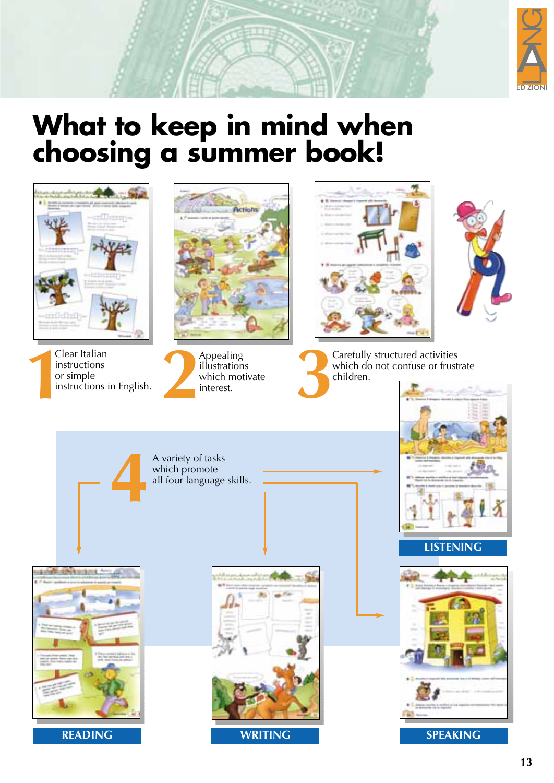

## **What to keep in mind when choosing a summer book!**

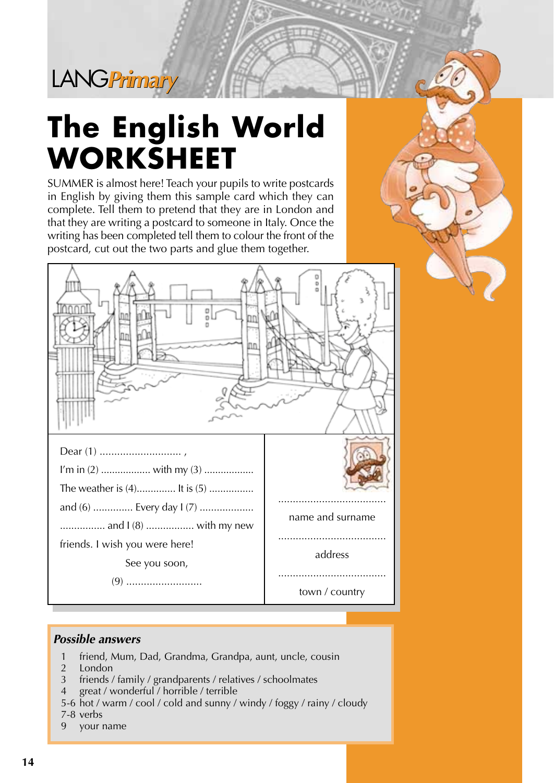<span id="page-13-0"></span>

## **The English World WORKSHEET**

SUMMER is almost here! Teach your pupils to write postcards in English by giving them this sample card which they can complete. Tell them to pretend that they are in London and that they are writing a postcard to someone in Italy. Once the writing has been completed tell them to colour the front of the postcard, cut out the two parts and glue them together.



#### *Possible answers*

- 1 friend, Mum, Dad, Grandma, Grandpa, aunt, uncle, cousin<br>2 London
- 2 London<br>3 friends /
- friends / family / grandparents / relatives / schoolmates
- 4 great / wonderful / horrible / terrible
- 5-6 hot / warm / cool / cold and sunny / windy / foggy / rainy / cloudy
- 7-8 verbs
- 9 your name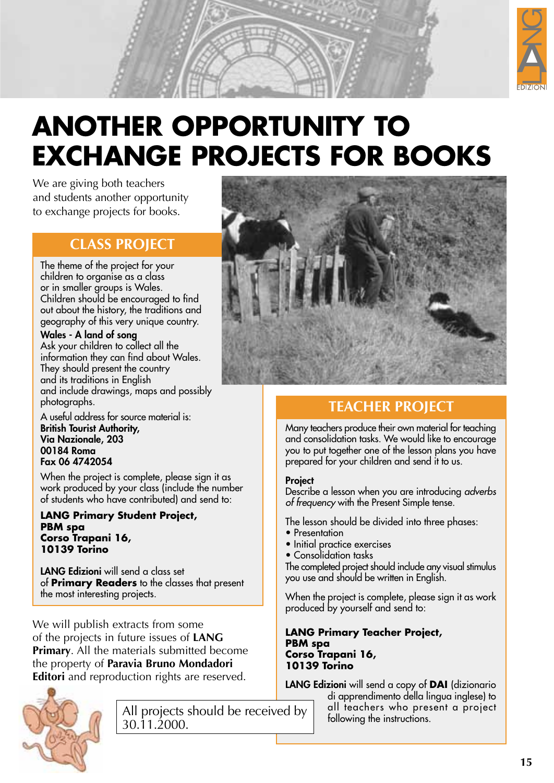

## <span id="page-14-0"></span>**ANOTHER OPPORTUNITY TO EXCHANGE PROJECTS FOR BOOKS**

We are giving both teachers and students another opportunity to exchange projects for books.

#### **CLASS PROJECT**

The theme of the project for your children to organise as a class or in smaller groups is Wales. Children should be encouraged to find out about the history, the traditions and geography of this very unique country.

**Wales - A land of song** Ask your children to collect all the information they can find about Wales. They should present the country and its traditions in English and include drawings, maps and possibly photographs.

A useful address for source material is: **British Tourist Authority, Via Nazionale, 203 00184 Roma Fax 06 4742054**

When the project is complete, please sign it as work produced by your class (include the number of students who have contributed) and send to:

#### **LANG Primary Student Project, PBM spa Corso Trapani 16, 10139 Torino**

**LANG Edizioni** will send a class set of **Primary Readers** to the classes that present the most interesting projects.

We will publish extracts from some of the projects in future issues of **LANG Primary**. All the materials submitted become the property of **Paravia Bruno Mondadori Editori** and reproduction rights are reserved.



All projects should be received by 30.11.2000.



#### **TEACHER PROJECT**

Many teachers produce their own material for teaching and consolidation tasks. We would like to encourage you to put together one of the lesson plans you have prepared for your children and send it to us.

#### **Project**

Describe a lesson when you are introducing *adverbs of frequency* with the Present Simple tense.

The lesson should be divided into three phases:

- Presentation
- Initial practice exercises
- Consolidation tasks

The completed project should include any visual stimulus you use and should be written in English.

When the project is complete, please sign it as work produced by yourself and send to:

#### **LANG Primary Teacher Project, PBM spa Corso Trapani 16, 10139 Torino**

**LANG Edizioni** will send a copy of **DAI** (dizionario

di apprendimento della lingua inglese) to all teachers who present a project following the instructions.

**15**